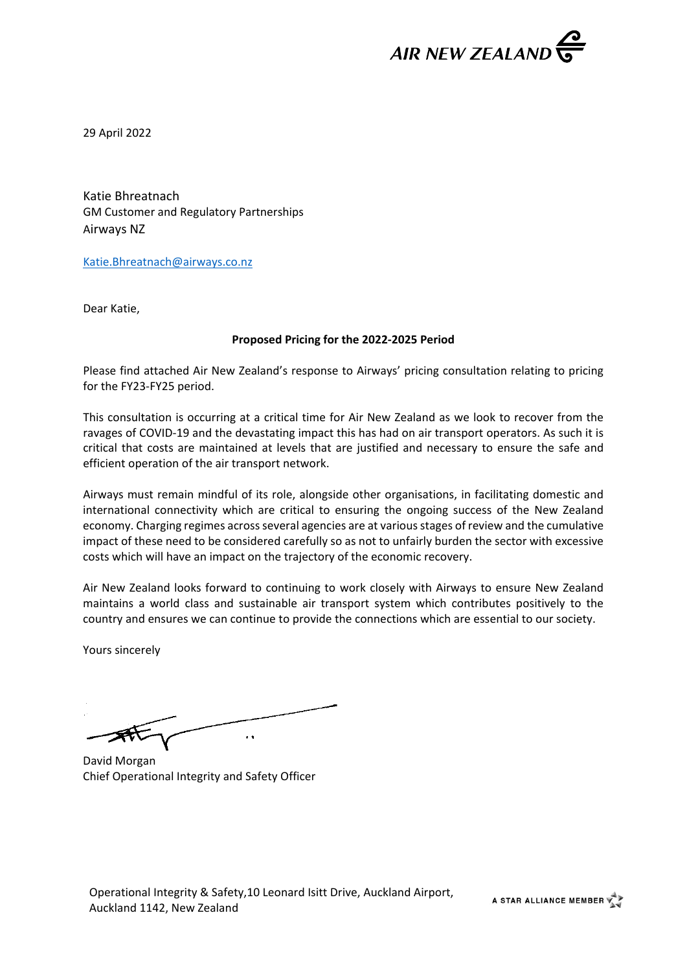

29 April 2022

Katie Bhreatnach GM Customer and Regulatory Partnerships Airways NZ

[Katie.Bhreatnach@airways.co.nz](mailto:Katie.Bhreatnach@airways.co.nz)

Dear Katie,

#### **Proposed Pricing for the 2022-2025 Period**

Please find attached Air New Zealand's response to Airways' pricing consultation relating to pricing for the FY23-FY25 period.

This consultation is occurring at a critical time for Air New Zealand as we look to recover from the ravages of COVID-19 and the devastating impact this has had on air transport operators. As such it is critical that costs are maintained at levels that are justified and necessary to ensure the safe and efficient operation of the air transport network.

Airways must remain mindful of its role, alongside other organisations, in facilitating domestic and international connectivity which are critical to ensuring the ongoing success of the New Zealand economy. Charging regimes across several agencies are at various stages of review and the cumulative impact of these need to be considered carefully so as not to unfairly burden the sector with excessive costs which will have an impact on the trajectory of the economic recovery.

Air New Zealand looks forward to continuing to work closely with Airways to ensure New Zealand maintains a world class and sustainable air transport system which contributes positively to the country and ensures we can continue to provide the connections which are essential to our society.

Yours sincerely

 $\ddot{\phantom{1}}$ 

David Morgan Chief Operational Integrity and Safety Officer

A STAR ALLIANCE MEMBER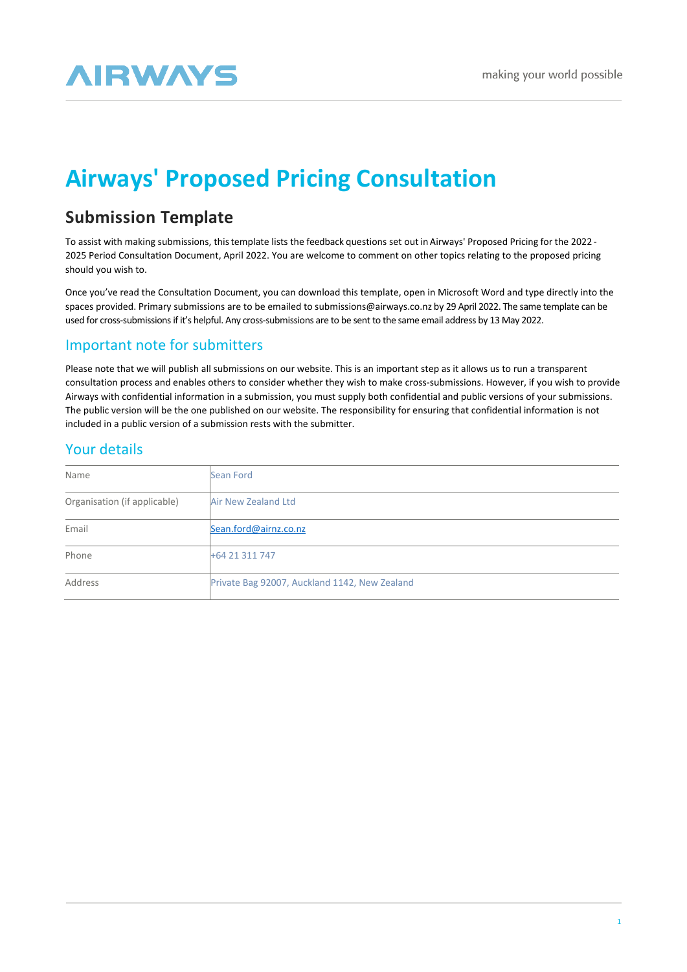# **AIRWAYS**

## **Airways' Proposed Pricing Consultation**

## **Submission Template**

To assist with making submissions, thistemplate lists the feedback questions set out in Airways' Proposed Pricing for the 2022 - 2025 Period Consultation Document, April 2022. You are welcome to comment on other topics relating to the proposed pricing should you wish to.

Once you've read the Consultation Document, you can download this template, open in Microsoft Word and type directly into the spaces provided. Primary submissions are to be emailed to [submissions@airways.co.nz](mailto:submissions@airways.co.nz) by 29 April 2022. The same template can be used for cross-submissions if it's helpful. Any cross-submissions are to be sent to the same email address by 13 May 2022.

## Important note for submitters

Please note that we will publish all submissions on our website. This is an important step as it allows us to run a transparent consultation process and enables others to consider whether they wish to make cross-submissions. However, if you wish to provide Airways with confidential information in a submission, you must supply both confidential and public versions of your submissions. The public version will be the one published on our website. The responsibility for ensuring that confidential information is not included in a public version of a submission rests with the submitter.

## Your details

| Name                         | Sean Ford                                     |
|------------------------------|-----------------------------------------------|
| Organisation (if applicable) | Air New Zealand Ltd                           |
| Email                        | Sean.ford@airnz.co.nz                         |
| Phone                        | +64 21 311 747                                |
| Address                      | Private Bag 92007, Auckland 1142, New Zealand |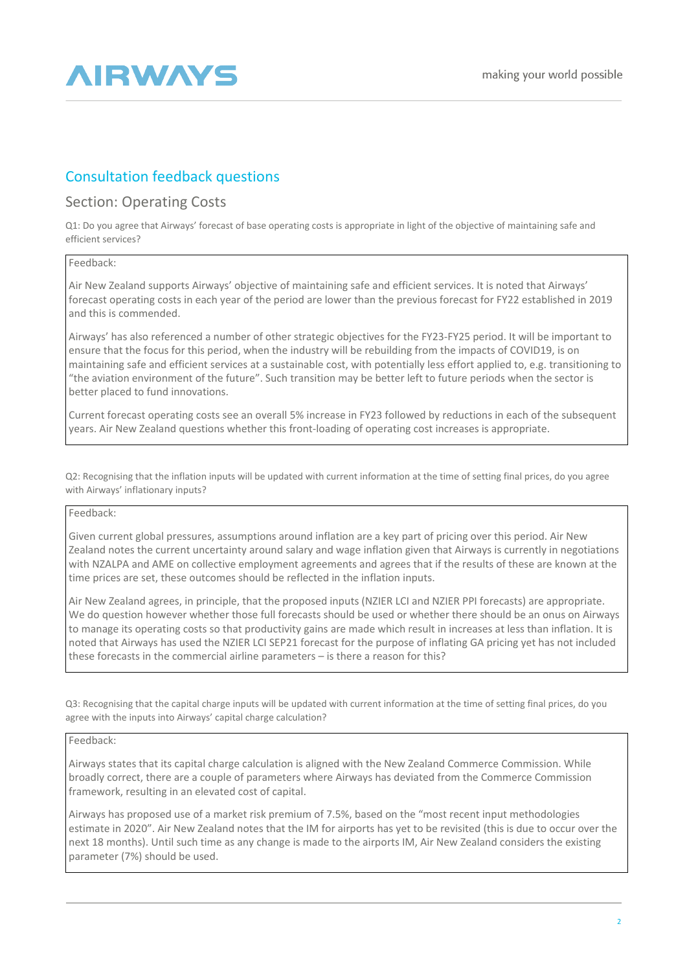

## Consultation feedback questions

### Section: Operating Costs

Q1: Do you agree that Airways' forecast of base operating costs is appropriate in light of the objective of maintaining safe and efficient services?

#### Feedback:

Air New Zealand supports Airways' objective of maintaining safe and efficient services. It is noted that Airways' forecast operating costs in each year of the period are lower than the previous forecast for FY22 established in 2019 and this is commended.

Airways' has also referenced a number of other strategic objectives for the FY23-FY25 period. It will be important to ensure that the focus for this period, when the industry will be rebuilding from the impacts of COVID19, is on maintaining safe and efficient services at a sustainable cost, with potentially less effort applied to, e.g. transitioning to "the aviation environment of the future". Such transition may be better left to future periods when the sector is better placed to fund innovations.

Current forecast operating costs see an overall 5% increase in FY23 followed by reductions in each of the subsequent years. Air New Zealand questions whether this front-loading of operating cost increases is appropriate.

Q2: Recognising that the inflation inputs will be updated with current information at the time of setting final prices, do you agree with Airways' inflationary inputs?

#### Feedback:

Given current global pressures, assumptions around inflation are a key part of pricing over this period. Air New Zealand notes the current uncertainty around salary and wage inflation given that Airways is currently in negotiations with NZALPA and AME on collective employment agreements and agrees that if the results of these are known at the time prices are set, these outcomes should be reflected in the inflation inputs.

Air New Zealand agrees, in principle, that the proposed inputs (NZIER LCI and NZIER PPI forecasts) are appropriate. We do question however whether those full forecasts should be used or whether there should be an onus on Airways to manage its operating costs so that productivity gains are made which result in increases at less than inflation. It is noted that Airways has used the NZIER LCI SEP21 forecast for the purpose of inflating GA pricing yet has not included these forecasts in the commercial airline parameters – is there a reason for this?

Q3: Recognising that the capital charge inputs will be updated with current information at the time of setting final prices, do you agree with the inputs into Airways' capital charge calculation?

#### Feedback:

Airways states that its capital charge calculation is aligned with the New Zealand Commerce Commission. While broadly correct, there are a couple of parameters where Airways has deviated from the Commerce Commission framework, resulting in an elevated cost of capital.

Airways has proposed use of a market risk premium of 7.5%, based on the "most recent input methodologies estimate in 2020". Air New Zealand notes that the IM for airports has yet to be revisited (this is due to occur over the next 18 months). Until such time as any change is made to the airports IM, Air New Zealand considers the existing parameter (7%) should be used.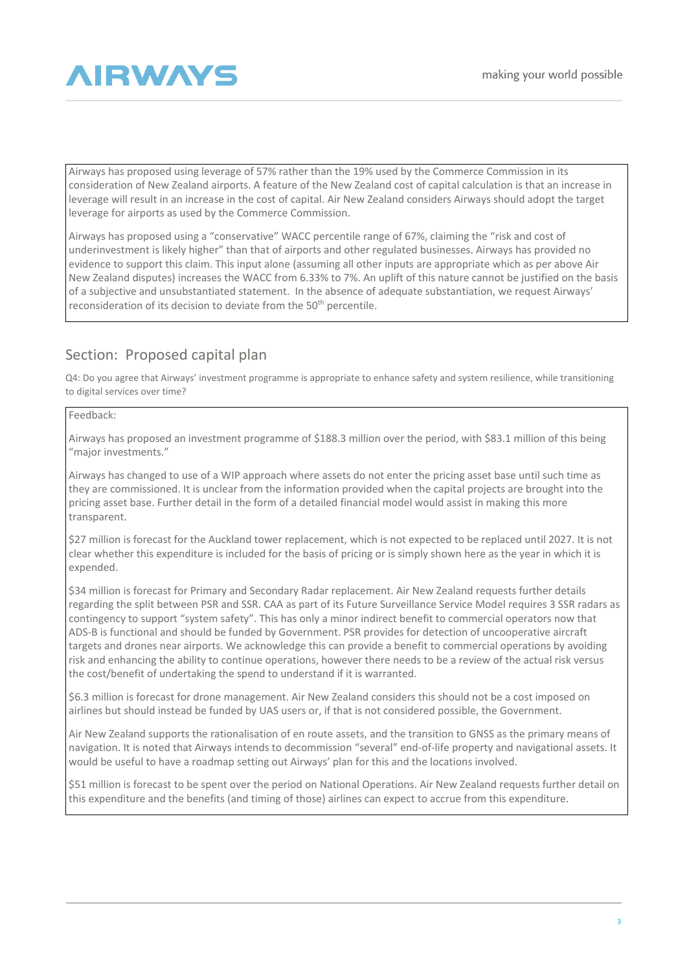

Airways has proposed using leverage of 57% rather than the 19% used by the Commerce Commission in its consideration of New Zealand airports. A feature of the New Zealand cost of capital calculation is that an increase in leverage will result in an increase in the cost of capital. Air New Zealand considers Airways should adopt the target leverage for airports as used by the Commerce Commission.

Airways has proposed using a "conservative" WACC percentile range of 67%, claiming the "risk and cost of underinvestment is likely higher" than that of airports and other regulated businesses. Airways has provided no evidence to support this claim. This input alone (assuming all other inputs are appropriate which as per above Air New Zealand disputes) increases the WACC from 6.33% to 7%. An uplift of this nature cannot be justified on the basis of a subjective and unsubstantiated statement. In the absence of adequate substantiation, we request Airways' reconsideration of its decision to deviate from the 50<sup>th</sup> percentile.

## Section: Proposed capital plan

Q4: Do you agree that Airways' investment programme is appropriate to enhance safety and system resilience, while transitioning to digital services over time?

#### Feedback:

Airways has proposed an investment programme of \$188.3 million over the period, with \$83.1 million of this being "major investments."

Airways has changed to use of a WIP approach where assets do not enter the pricing asset base until such time as they are commissioned. It is unclear from the information provided when the capital projects are brought into the pricing asset base. Further detail in the form of a detailed financial model would assist in making this more transparent.

\$27 million is forecast for the Auckland tower replacement, which is not expected to be replaced until 2027. It is not clear whether this expenditure is included for the basis of pricing or is simply shown here as the year in which it is expended.

\$34 million is forecast for Primary and Secondary Radar replacement. Air New Zealand requests further details regarding the split between PSR and SSR. CAA as part of its Future Surveillance Service Model requires 3 SSR radars as contingency to support "system safety". This has only a minor indirect benefit to commercial operators now that ADS-B is functional and should be funded by Government. PSR provides for detection of uncooperative aircraft targets and drones near airports. We acknowledge this can provide a benefit to commercial operations by avoiding risk and enhancing the ability to continue operations, however there needs to be a review of the actual risk versus the cost/benefit of undertaking the spend to understand if it is warranted.

\$6.3 million is forecast for drone management. Air New Zealand considers this should not be a cost imposed on airlines but should instead be funded by UAS users or, if that is not considered possible, the Government.

Air New Zealand supports the rationalisation of en route assets, and the transition to GNSS as the primary means of navigation. It is noted that Airways intends to decommission "several" end-of-life property and navigational assets. It would be useful to have a roadmap setting out Airways' plan for this and the locations involved.

\$51 million is forecast to be spent over the period on National Operations. Air New Zealand requests further detail on this expenditure and the benefits (and timing of those) airlines can expect to accrue from this expenditure.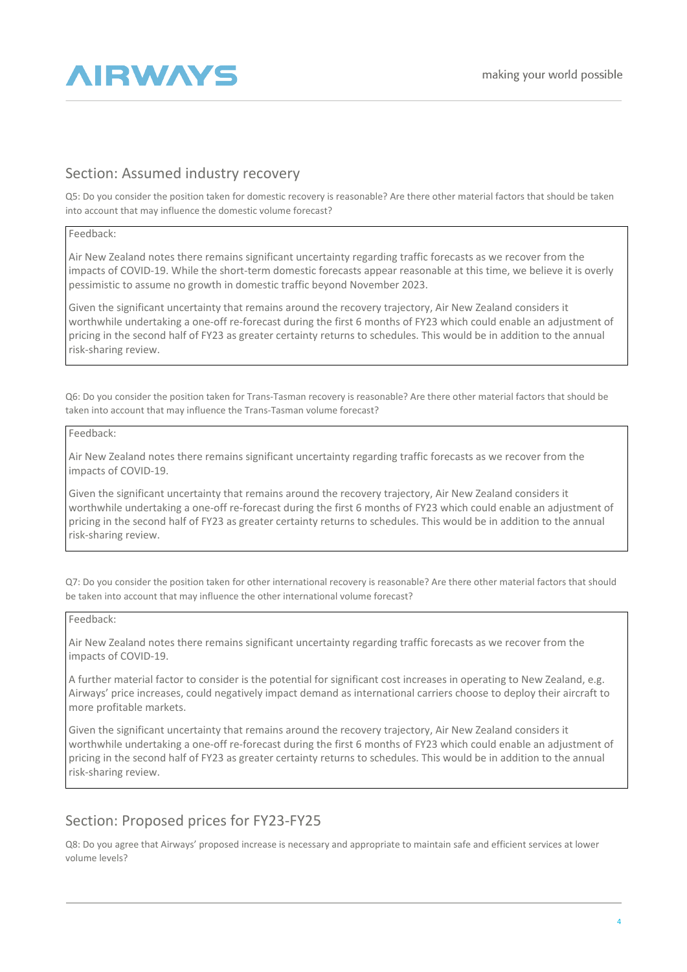

## Section: Assumed industry recovery

Q5: Do you consider the position taken for domestic recovery is reasonable? Are there other material factors that should be taken into account that may influence the domestic volume forecast?

#### Feedback:

Air New Zealand notes there remains significant uncertainty regarding traffic forecasts as we recover from the impacts of COVID-19. While the short-term domestic forecasts appear reasonable at this time, we believe it is overly pessimistic to assume no growth in domestic traffic beyond November 2023.

Given the significant uncertainty that remains around the recovery trajectory, Air New Zealand considers it worthwhile undertaking a one-off re-forecast during the first 6 months of FY23 which could enable an adjustment of pricing in the second half of FY23 as greater certainty returns to schedules. This would be in addition to the annual risk-sharing review.

Q6: Do you consider the position taken for Trans-Tasman recovery is reasonable? Are there other material factors that should be taken into account that may influence the Trans-Tasman volume forecast?

#### Feedback:

Air New Zealand notes there remains significant uncertainty regarding traffic forecasts as we recover from the impacts of COVID-19.

Given the significant uncertainty that remains around the recovery trajectory, Air New Zealand considers it worthwhile undertaking a one-off re-forecast during the first 6 months of FY23 which could enable an adjustment of pricing in the second half of FY23 as greater certainty returns to schedules. This would be in addition to the annual risk-sharing review.

Q7: Do you consider the position taken for other international recovery is reasonable? Are there other material factors that should be taken into account that may influence the other international volume forecast?

#### Feedback:

Air New Zealand notes there remains significant uncertainty regarding traffic forecasts as we recover from the impacts of COVID-19.

A further material factor to consider is the potential for significant cost increases in operating to New Zealand, e.g. Airways' price increases, could negatively impact demand as international carriers choose to deploy their aircraft to more profitable markets.

Given the significant uncertainty that remains around the recovery trajectory, Air New Zealand considers it worthwhile undertaking a one-off re-forecast during the first 6 months of FY23 which could enable an adjustment of pricing in the second half of FY23 as greater certainty returns to schedules. This would be in addition to the annual risk-sharing review.

## Section: Proposed prices for FY23-FY25

Q8: Do you agree that Airways' proposed increase is necessary and appropriate to maintain safe and efficient services at lower volume levels?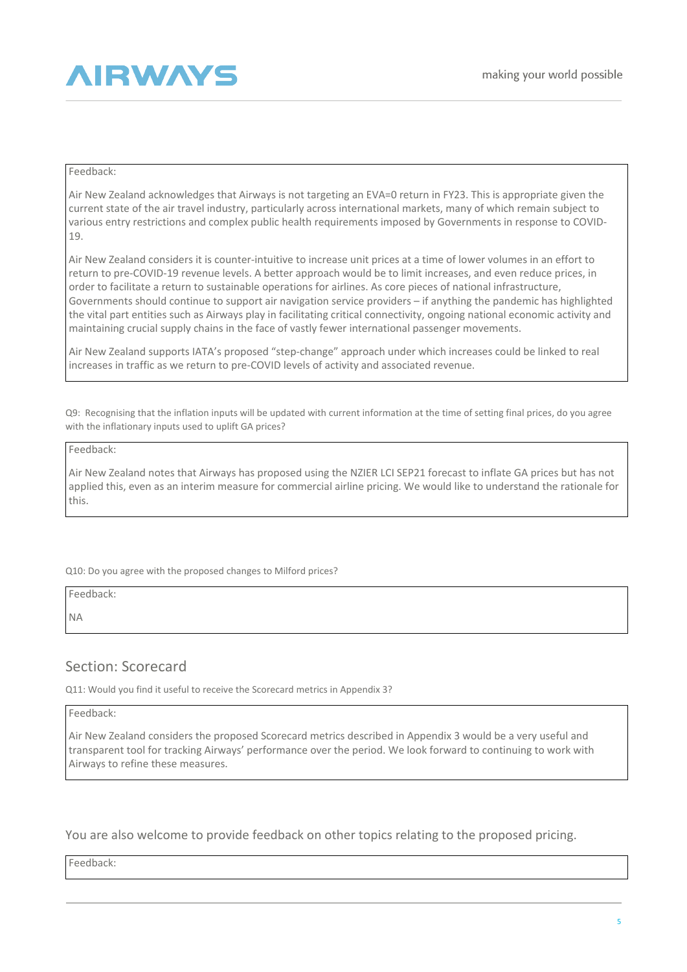

#### Feedback:

Air New Zealand acknowledges that Airways is not targeting an EVA=0 return in FY23. This is appropriate given the current state of the air travel industry, particularly across international markets, many of which remain subject to various entry restrictions and complex public health requirements imposed by Governments in response to COVID-19.

Air New Zealand considers it is counter-intuitive to increase unit prices at a time of lower volumes in an effort to return to pre-COVID-19 revenue levels. A better approach would be to limit increases, and even reduce prices, in order to facilitate a return to sustainable operations for airlines. As core pieces of national infrastructure, Governments should continue to support air navigation service providers – if anything the pandemic has highlighted the vital part entities such as Airways play in facilitating critical connectivity, ongoing national economic activity and maintaining crucial supply chains in the face of vastly fewer international passenger movements.

Air New Zealand supports IATA's proposed "step-change" approach under which increases could be linked to real increases in traffic as we return to pre-COVID levels of activity and associated revenue.

Q9: Recognising that the inflation inputs will be updated with current information at the time of setting final prices, do you agree with the inflationary inputs used to uplift GA prices?

#### Feedback:

Air New Zealand notes that Airways has proposed using the NZIER LCI SEP21 forecast to inflate GA prices but has not applied this, even as an interim measure for commercial airline pricing. We would like to understand the rationale for this.

Q10: Do you agree with the proposed changes to Milford prices?

Feedback:

NA

## Section: Scorecard

Q11: Would you find it useful to receive the Scorecard metrics in Appendix 3?

#### Feedback:

Air New Zealand considers the proposed Scorecard metrics described in Appendix 3 would be a very useful and transparent tool for tracking Airways' performance over the period. We look forward to continuing to work with Airways to refine these measures.

You are also welcome to provide feedback on other topics relating to the proposed pricing.

Feedback: